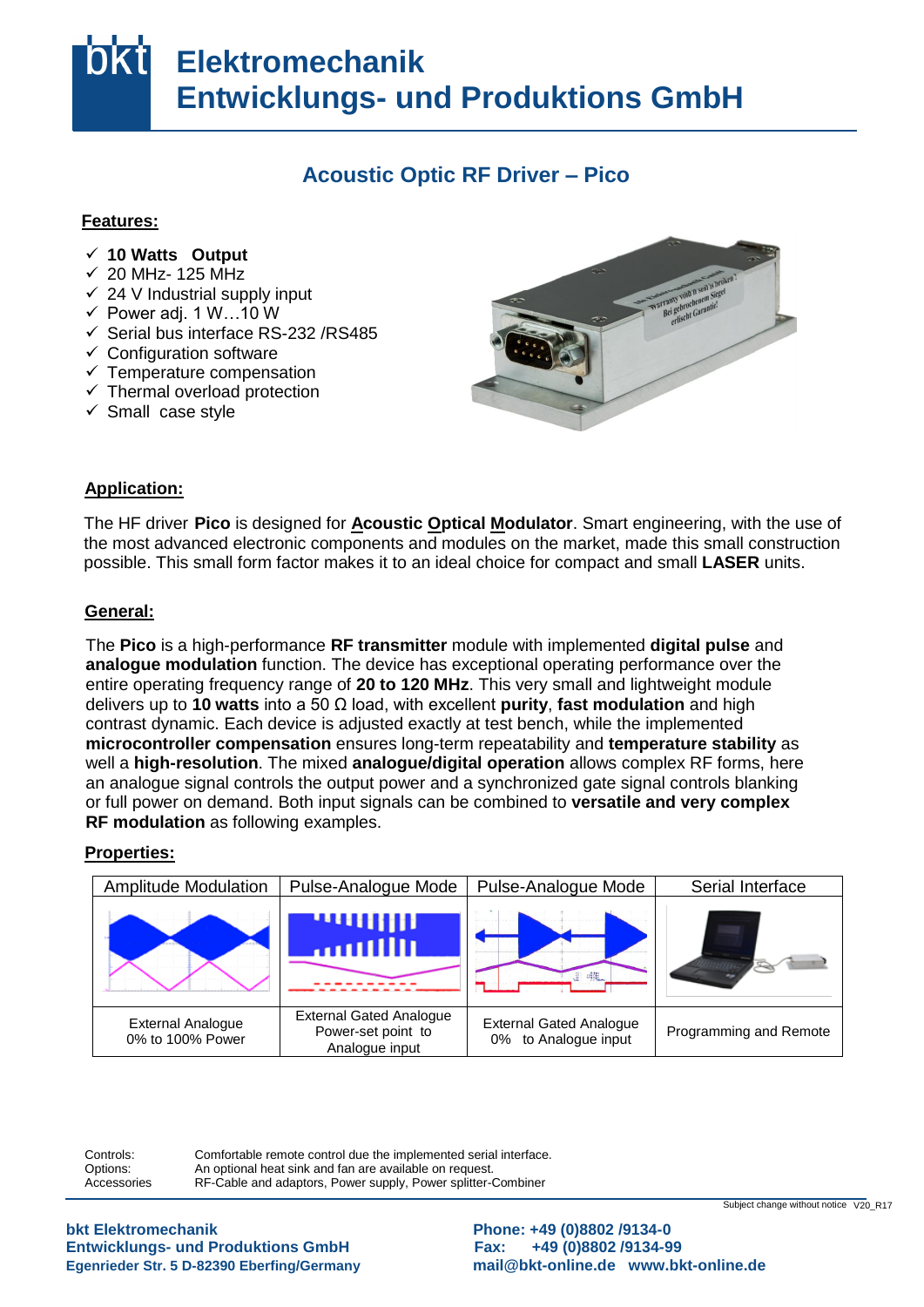# **Elektromechanik Entwicklungs- und Produktions GmbH**

### **Acoustic Optic RF Driver – Pico**

#### **Features:**

- **√ 10 Watts Output**
- $\overline{\phantom{0}}$  20 MHz- 125 MHz
- $\checkmark$  24 V Industrial supply input
- $\checkmark$  Power adj. 1 W...10 W
- $\checkmark$  Serial bus interface RS-232 /RS485
- v Senarbus interace RS<br>
v Configuration software
- <del>⊘Using</del>urature compensation
- $\checkmark$  Thermal overload protection
- $\checkmark$  Small case style



## Application:

The HF driver Pico is designed for **Acoustic Optical Modulator**. Smart engineering, with the use of the most advanced electronic components and modules on the market, made this small construction possible. This small form factor makes it to an ideal choice for compact and small LASER units.

#### **General:** das

The Pico is a high-performance RF transmitter module with implemented digital pulse and analogue modulation function. The device has exceptional operating performance over the entife operating frequency range of **20 to 120 MHz**. This very small and lightweight modu<br>delivers up to **10 watts** into a 50 Ω load, with excellent **purity**, fast modulation and high contrast dynamic. Each device is adjusted exactly at test bench, while the implemented im **microcontroller compensation** ensures long-term repeatability and **temperature stability** as well a **high-resolution**. The mixed **analogue/digital operation** allows complex RF forms, here ent or full power on demand. Both input signals can be combined to **versatile and very complex**  position **RF modulation** as following examples. entire operating frequency range of **20 to 120 MHz**. This very small and lightweight module an analogue signal controls the output power and a synchronized gate signal controls blanking

# **Properties:**



Controls: Ontions: Accessories Comfortable remote control due the implemented serial interface. An optional heat sink and fan are available on request. RF-Cable and adaptors, Power supply, Power splitter-Combiner

**Entwicklungs- und Produktions GmbH Fax: +49 (0)8802 /9134-99** ändern bkt Elektromechanik

**bkt Elektromechanik Phone: +49 (0)8802 /9134-0**  Egenrieder Str. 5 D-82390 Eberfing/Germany **and [mail@bkt-online.de](mailto:mail@bkt-online.de)** www.bkt-online.de

Subject change without notice V20\_R17